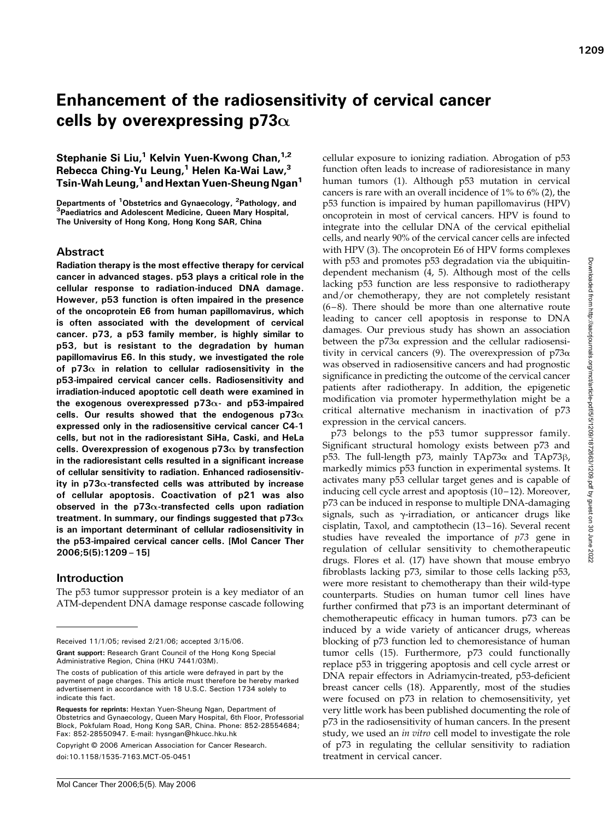# Enhancement of the radiosensitivity of cervical cancer cells by overexpressing p73 $\alpha$

Stephanie Si Liu,<sup>1</sup> Kelvin Yuen-Kwong Chan,<sup>1,2</sup> Rebecca Ching-Yu Leung, $1$  Helen Ka-Wai Law, $3$ Tsin-Wah Leung,<sup>1</sup> and Hextan Yuen-Sheung Ngan<sup>1</sup>

Departments of <sup>1</sup>Obstetrics and Gynaecology, <sup>2</sup>Pathology, and<br><sup>3</sup>Paediatrics and Adolescent Medicine, Queen Mary Hospital <sup>3</sup>Paediatrics and Adolescent Medicine, Queen Mary Hospital, The University of Hong Kong, Hong Kong SAR, China

## Abstract

Radiation therapy is the most effective therapy for cervical cancer in advanced stages. p53 plays a critical role in the cellular response to radiation-induced DNA damage. However, p53 function is often impaired in the presence of the oncoprotein E6 from human papillomavirus, which is often associated with the development of cervical cancer. p73, a p53 family member, is highly similar to p53, but is resistant to the degradation by human papillomavirus E6. In this study, we investigated the role of p73 $\alpha$  in relation to cellular radiosensitivity in the p53-impaired cervical cancer cells. Radiosensitivity and irradiation-induced apoptotic cell death were examined in the exogenous overexpressed  $p73\alpha$ - and  $p53$ -impaired cells. Our results showed that the endogenous p73 $\alpha$ expressed only in the radiosensitive cervical cancer C4-1 cells, but not in the radioresistant SiHa, Caski, and HeLa cells. Overexpression of exogenous p73 $\alpha$  by transfection in the radioresistant cells resulted in a significant increase of cellular sensitivity to radiation. Enhanced radiosensitivity in p73 $\alpha$ -transfected cells was attributed by increase of cellular apoptosis. Coactivation of p21 was also observed in the  $p73\alpha$ -transfected cells upon radiation treatment. In summary, our findings suggested that p73 $\alpha$ is an important determinant of cellular radiosensitivity in the p53-impaired cervical cancer cells. [Mol Cancer Ther 2006;5(5):1209–15]

## Introduction

The p53 tumor suppressor protein is a key mediator of an ATM-dependent DNA damage response cascade following

Received 11/1/05; revised 2/21/06; accepted 3/15/06.

Grant support: Research Grant Council of the Hong Kong Special Administrative Region, China (HKU 7441/03M).

Copyright C 2006 American Association for Cancer Research.

doi:10.1158/1535-7163.MCT-05-0451

cellular exposure to ionizing radiation. Abrogation of p53 function often leads to increase of radioresistance in many human tumors (1). Although p53 mutation in cervical cancers is rare with an overall incidence of 1% to 6% (2), the p53 function is impaired by human papillomavirus (HPV) oncoprotein in most of cervical cancers. HPV is found to integrate into the cellular DNA of the cervical epithelial cells, and nearly 90% of the cervical cancer cells are infected with HPV (3). The oncoprotein E6 of HPV forms complexes with p53 and promotes p53 degradation via the ubiquitindependent mechanism (4, 5). Although most of the cells lacking p53 function are less responsive to radiotherapy and/or chemotherapy, they are not completely resistant  $(6-8)$ . There should be more than one alternative route leading to cancer cell apoptosis in response to DNA damages. Our previous study has shown an association between the  $p73\alpha$  expression and the cellular radiosensitivity in cervical cancers (9). The overexpression of  $p73\alpha$ was observed in radiosensitive cancers and had prognostic significance in predicting the outcome of the cervical cancer patients after radiotherapy. In addition, the epigenetic modification via promoter hypermethylation might be a critical alternative mechanism in inactivation of p73 expression in the cervical cancers.

p73 belongs to the p53 tumor suppressor family. Significant structural homology exists between p73 and p53. The full-length p73, mainly  $TAp73\alpha$  and  $TAp73\beta$ , markedly mimics p53 function in experimental systems. It activates many p53 cellular target genes and is capable of inducing cell cycle arrest and apoptosis (10-12). Moreover, p73 can be induced in response to multiple DNA-damaging signals, such as  $\gamma$ -irradiation, or anticancer drugs like cisplatin, Taxol, and camptothecin (13-16). Several recent studies have revealed the importance of  $p73$  gene in regulation of cellular sensitivity to chemotherapeutic drugs. Flores et al. (17) have shown that mouse embryo fibroblasts lacking p73, similar to those cells lacking p53, were more resistant to chemotherapy than their wild-type counterparts. Studies on human tumor cell lines have further confirmed that p73 is an important determinant of chemotherapeutic efficacy in human tumors. p73 can be induced by a wide variety of anticancer drugs, whereas blocking of p73 function led to chemoresistance of human tumor cells (15). Furthermore, p73 could functionally replace p53 in triggering apoptosis and cell cycle arrest or DNA repair effectors in Adriamycin-treated, p53-deficient breast cancer cells (18). Apparently, most of the studies were focused on p73 in relation to chemosensitivity, yet very little work has been published documenting the role of p73 in the radiosensitivity of human cancers. In the present study, we used an in vitro cell model to investigate the role of p73 in regulating the cellular sensitivity to radiation treatment in cervical cancer.

The costs of publication of this article were defrayed in part by the payment of page charges. This article must therefore be hereby marked advertisement in accordance with 18 U.S.C. Section 1734 solely to indicate this fact.

Requests for reprints: Hextan Yuen-Sheung Ngan, Department of Obstetrics and Gynaecology, Queen Mary Hospital, 6th Floor, Professorial Block, Pokfulam Road, Hong Kong SAR, China. Phone: 852-28554684; Fax: 852-28550947. E-mail: hysngan@hkucc.hku.hk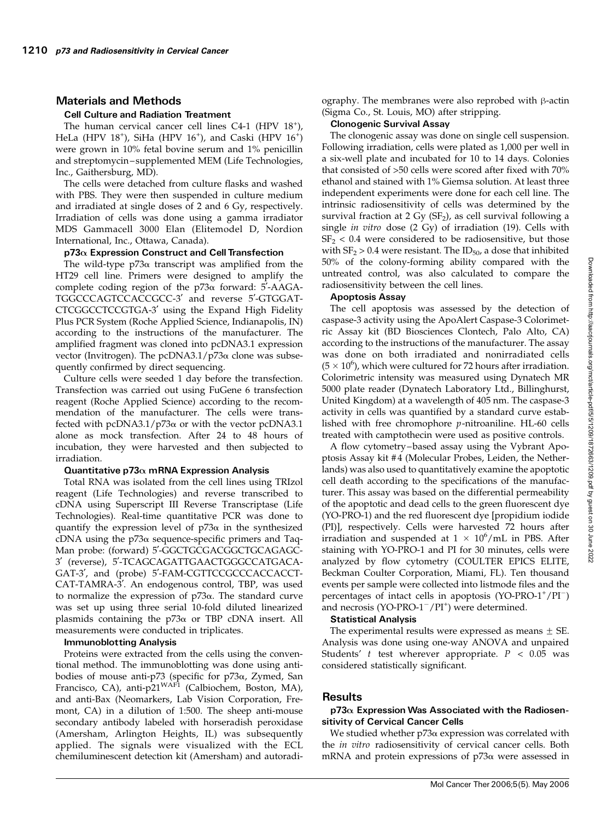## Materials and Methods

#### Cell Culture and Radiation Treatment

The human cervical cancer cell lines C4-1 (HPV 18<sup>+</sup>), HeLa (HPV 18<sup>+</sup>), SiHa (HPV 16<sup>+</sup>), and Caski (HPV 16<sup>+</sup>) were grown in 10% fetal bovine serum and 1% penicillin and streptomycin – supplemented MEM (Life Technologies, Inc., Gaithersburg, MD).

The cells were detached from culture flasks and washed with PBS. They were then suspended in culture medium and irradiated at single doses of 2 and 6 Gy, respectively. Irradiation of cells was done using a gamma irradiator MDS Gammacell 3000 Elan (Elitemodel D, Nordion International, Inc., Ottawa, Canada).

## $p73\alpha$  Expression Construct and Cell Transfection

The wild-type  $p73\alpha$  transcript was amplified from the HT29 cell line. Primers were designed to amplify the complete coding region of the  $p73\alpha$  forward:  $5'$ -AAGA-TGGCCCAGTCCACCGCC-3' and reverse 5'-GTGGAT-CTCGGCCTCCGTGA-3' using the Expand High Fidelity Plus PCR System (Roche Applied Science, Indianapolis, IN) according to the instructions of the manufacturer. The amplified fragment was cloned into pcDNA3.1 expression vector (Invitrogen). The pcDNA3.1/ $p73\alpha$  clone was subsequently confirmed by direct sequencing.

Culture cells were seeded 1 day before the transfection. Transfection was carried out using FuGene 6 transfection reagent (Roche Applied Science) according to the recommendation of the manufacturer. The cells were transfected with pcDNA3.1/p73 $\alpha$  or with the vector pcDNA3.1 alone as mock transfection. After 24 to 48 hours of incubation, they were harvested and then subjected to irradiation.

#### Quantitative p73 $\alpha$  mRNA Expression Analysis

Total RNA was isolated from the cell lines using TRIzol reagent (Life Technologies) and reverse transcribed to cDNA using Superscript III Reverse Transcriptase (Life Technologies). Real-time quantitative PCR was done to quantify the expression level of  $p73\alpha$  in the synthesized cDNA using the  $p73\alpha$  sequence-specific primers and Taq-Man probe: (forward) 5'-GGCTGCGACGGCTGCAGAGC-3' (reverse), 5'-TCAGCAGATTGAACTGGGCCATGACA-GAT-3', and (probe) 5'-FAM-CGTTCCGCCCACCACCT-CAT-TAMRA-3'. An endogenous control, TBP, was used to normalize the expression of  $p73\alpha$ . The standard curve was set up using three serial 10-fold diluted linearized plasmids containing the  $p73\alpha$  or TBP cDNA insert. All measurements were conducted in triplicates.

#### ImmunoblottingAnalysis

Proteins were extracted from the cells using the conventional method. The immunoblotting was done using antibodies of mouse anti-p73 (specific for  $p73\alpha$ , Zymed, San Francisco, CA), anti-p21<sup>WAF1</sup> (Calbiochem, Boston, MA), and anti-Bax (Neomarkers, Lab Vision Corporation, Fremont, CA) in a dilution of 1:500. The sheep anti-mouse secondary antibody labeled with horseradish peroxidase (Amersham, Arlington Heights, IL) was subsequently applied. The signals were visualized with the ECL chemiluminescent detection kit (Amersham) and autoradiography. The membranes were also reprobed with  $\beta$ -actin (Sigma Co., St. Louis, MO) after stripping.

#### Clonogenic Survival Assay

The clonogenic assay was done on single cell suspension. Following irradiation, cells were plated as 1,000 per well in a six-well plate and incubated for 10 to 14 days. Colonies that consisted of >50 cells were scored after fixed with 70% ethanol and stained with 1% Giemsa solution. At least three independent experiments were done for each cell line. The intrinsic radiosensitivity of cells was determined by the survival fraction at 2 Gy ( $SF<sub>2</sub>$ ), as cell survival following a single in vitro dose (2 Gy) of irradiation (19). Cells with  $SF<sub>2</sub> < 0.4$  were considered to be radiosensitive, but those with  $SF_2 > 0.4$  were resistant. The ID<sub>50</sub>, a dose that inhibited 50% of the colony-forming ability compared with the untreated control, was also calculated to compare the radiosensitivity between the cell lines.

#### Apoptosis Assay

The cell apoptosis was assessed by the detection of caspase-3 activity using the ApoAlert Caspase-3 Colorimetric Assay kit (BD Biosciences Clontech, Palo Alto, CA) according to the instructions of the manufacturer. The assay was done on both irradiated and nonirradiated cells  $(5 \times 10^6)$ , which were cultured for 72 hours after irradiation. Colorimetric intensity was measured using Dynatech MR 5000 plate reader (Dynatech Laboratory Ltd., Billinghurst, United Kingdom) at a wavelength of 405 nm. The caspase-3 activity in cells was quantified by a standard curve established with free chromophore p-nitroaniline. HL-60 cells treated with camptothecin were used as positive controls.

A flow cytometry –based assay using the Vybrant Apoptosis Assay kit #4 (Molecular Probes, Leiden, the Netherlands) was also used to quantitatively examine the apoptotic cell death according to the specifications of the manufacturer. This assay was based on the differential permeability of the apoptotic and dead cells to the green fluorescent dye (YO-PRO-1) and the red fluorescent dye [propidium iodide (PI)], respectively. Cells were harvested 72 hours after irradiation and suspended at  $1 \times 10^6$ /mL in PBS. After staining with YO-PRO-1 and PI for 30 minutes, cells were analyzed by flow cytometry (COULTER EPICS ELITE, Beckman Coulter Corporation, Miami, FL). Ten thousand events per sample were collected into listmode files and the percentages of intact cells in apoptosis (YO-PRO-1+/PI-) and necrosis (YO-PRO-1<sup>-</sup>/PI<sup>+</sup>) were determined.

#### Statistical Analysis

The experimental results were expressed as means  $\pm$  SE. Analysis was done using one-way ANOVA and unpaired Students' t test wherever appropriate.  $P < 0.05$  was considered statistically significant.

#### Results

### p73 $\alpha$  Expression Was Associated with the Radiosensitivity of Cervical Cancer Cells

We studied whether  $p73\alpha$  expression was correlated with the *in vitro* radiosensitivity of cervical cancer cells. Both mRNA and protein expressions of p73a were assessed in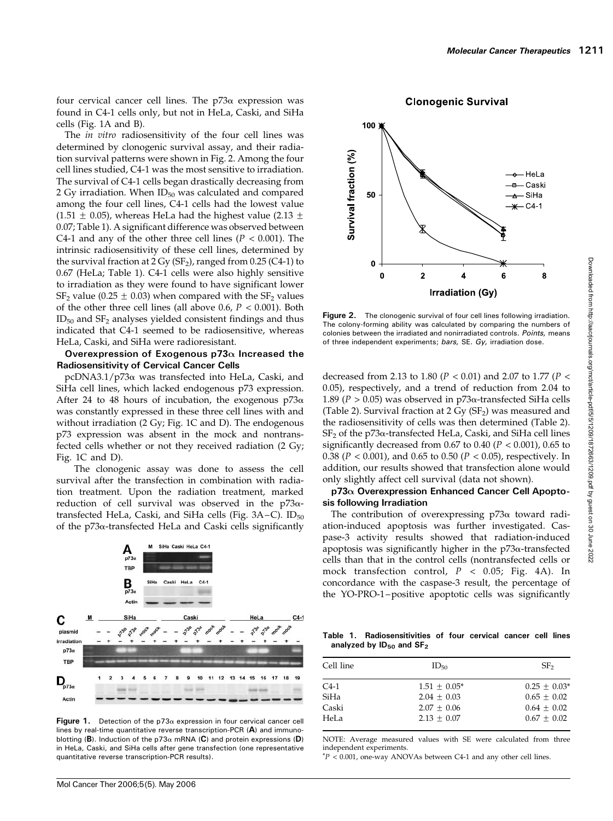four cervical cancer cell lines. The  $p73\alpha$  expression was found in C4-1 cells only, but not in HeLa, Caski, and SiHa cells (Fig. 1A and B).

The *in vitro* radiosensitivity of the four cell lines was determined by clonogenic survival assay, and their radiation survival patterns were shown in Fig. 2. Among the four cell lines studied, C4-1 was the most sensitive to irradiation. The survival of C4-1 cells began drastically decreasing from 2 Gy irradiation. When  $ID_{50}$  was calculated and compared among the four cell lines, C4-1 cells had the lowest value (1.51  $\pm$  0.05), whereas HeLa had the highest value (2.13  $\pm$ 0.07; Table 1). A significant difference was observed between C4-1 and any of the other three cell lines ( $P < 0.001$ ). The intrinsic radiosensitivity of these cell lines, determined by the survival fraction at  $2 \text{ Gy (SF)}$ , ranged from 0.25 (C4-1) to 0.67 (HeLa; Table 1). C4-1 cells were also highly sensitive to irradiation as they were found to have significant lower  $SF<sub>2</sub>$  value (0.25  $\pm$  0.03) when compared with the  $SF<sub>2</sub>$  values of the other three cell lines (all above 0.6,  $P < 0.001$ ). Both  $ID_{50}$  and  $SF_{2}$  analyses yielded consistent findings and thus indicated that C4-1 seemed to be radiosensitive, whereas HeLa, Caski, and SiHa were radioresistant.

## Overexpression of Exogenous  $p73\alpha$  Increased the Radiosensitivity of Cervical Cancer Cells

 $pcDNA3.1/p73\alpha$  was transfected into HeLa, Caski, and SiHa cell lines, which lacked endogenous p73 expression. After 24 to 48 hours of incubation, the exogenous  $p73\alpha$ was constantly expressed in these three cell lines with and without irradiation (2 Gy; Fig. 1C and D). The endogenous p73 expression was absent in the mock and nontransfected cells whether or not they received radiation (2 Gy; Fig. 1C and D).

The clonogenic assay was done to assess the cell survival after the transfection in combination with radiation treatment. Upon the radiation treatment, marked reduction of cell survival was observed in the  $p73\alpha$ transfected HeLa, Caski, and SiHa cells (Fig. 3A-C). ID<sub>50</sub> of the p73a-transfected HeLa and Caski cells significantly



Figure 1. Detection of the  $p73\alpha$  expression in four cervical cancer cell lines by real-time quantitative reverse transcription-PCR (A) and immunoblotting (B). Induction of the p73 $\alpha$  mRNA (C) and protein expressions (D) in HeLa, Caski, and SiHa cells after gene transfection (one representative quantitative reverse transcription-PCR results).

 $100)$ Survival fraction (%) – HeLa <del>¤—</del> Caski 50  $\leftarrow$  SiHa  $*$  C4-1  $\mathbf 0$  $\mathbf{0}$  $\overline{2}$ 4 6 8 **Irradiation (Gy)** 

**Clonogenic Survival** 

Figure 2. The clonogenic survival of four cell lines following irradiation. The colony-forming ability was calculated by comparing the numbers of colonies between the irradiated and nonirradiated controls. Points, means of three independent experiments; bars, SE. Gy, irradiation dose.

decreased from 2.13 to 1.80 ( $P < 0.01$ ) and 2.07 to 1.77 ( $P <$ 0.05), respectively, and a trend of reduction from 2.04 to 1.89 ( $P > 0.05$ ) was observed in p73 $\alpha$ -transfected SiHa cells (Table 2). Survival fraction at  $2 \text{ Gy (SF}_2)$  was measured and the radiosensitivity of cells was then determined (Table 2).  $SF<sub>2</sub>$  of the p73 $\alpha$ -transfected HeLa, Caski, and SiHa cell lines significantly decreased from  $0.67$  to  $0.40$  ( $P < 0.001$ ),  $0.65$  to 0.38 ( $P < 0.001$ ), and 0.65 to 0.50 ( $P < 0.05$ ), respectively. In addition, our results showed that transfection alone would only slightly affect cell survival (data not shown).

#### $p73\alpha$  Overexpression Enhanced Cancer Cell Apoptosis following Irradiation

The contribution of overexpressing  $p73\alpha$  toward radiation-induced apoptosis was further investigated. Caspase-3 activity results showed that radiation-induced apoptosis was significantly higher in the  $p73\alpha$ -transfected cells than that in the control cells (nontransfected cells or mock transfection control,  $P \leq 0.05$ ; Fig. 4A). In concordance with the caspase-3 result, the percentage of the YO-PRO-1 –positive apoptotic cells was significantly

Table 1. Radiosensitivities of four cervical cancer cell lines analyzed by  $ID_{50}$  and  $SF<sub>2</sub>$ 

| Cell line | $ID_{50}$      | SF <sub>2</sub> |
|-----------|----------------|-----------------|
| $C_{4-1}$ | $1.51 + 0.05*$ | $0.25 + 0.03*$  |
| SiHa      | $2.04 + 0.03$  | $0.65 + 0.02$   |
| Caski     | $2.07 + 0.06$  | $0.64 + 0.02$   |
| HeLa      | $2.13 + 0.07$  | $0.67 + 0.02$   |

NOTE: Average measured values with SE were calculated from three independent experiments.

 $*P < 0.001$ , one-way ANOVAs between C4-1 and any other cell lines.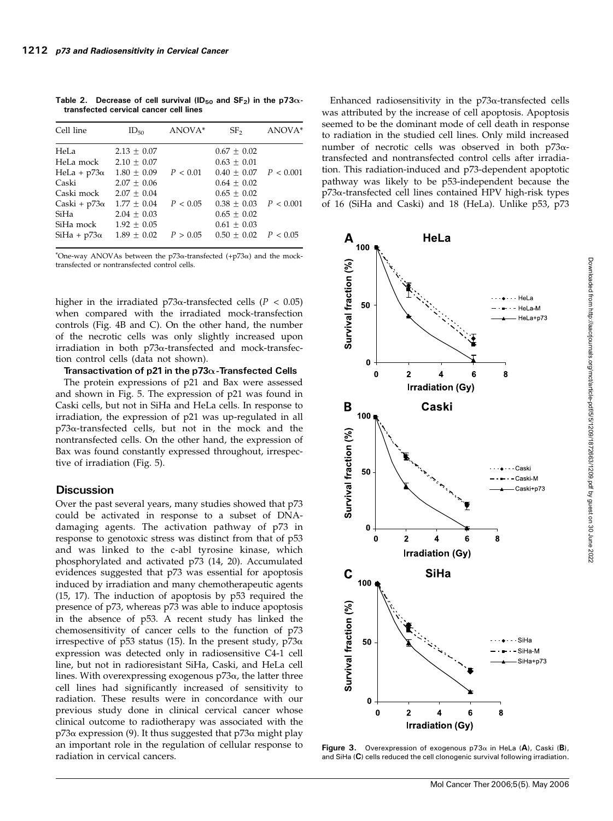Cell line  $ID_{50}$   $ANOVA^*$   $SF_2$   $ANOVA^*$ HeLa  $2.13 \pm 0.07$   $0.67 \pm 0.02$ HeLa mock  $2.10 \pm 0.07$   $0.63 \pm 0.01$ HeLa + p73 $\alpha$  1.80  $\pm$  0.09  $P < 0.01$  0.40  $\pm$  0.07  $P < 0.001$ <br>Caski 2.07  $\pm$  0.06 0.64  $\pm$  0.02  $2.07 \pm 0.06$ Caski mock  $2.07 \pm 0.04$  0.65  $\pm$  0.02 Caski + p73 $\alpha$  1.77  $\pm$  0.04  $P < 0.05$  0.38  $\pm$  0.03  $P < 0.001$ <br>SiHa 2.04 + 0.03 0.65 + 0.02  $2.04 \pm 0.03$ SiHa mock  $1.92 \pm 0.05$  0.61  $\pm$  0.03  $SiHa + p73\alpha$  1.89  $\pm$  0.02  $P > 0.05$  0.50  $\pm$  0.02  $P < 0.05$ 

Table 2. Decrease of cell survival (ID<sub>50</sub> and SF<sub>2</sub>) in the p73 $\alpha$ transfected cervical cancer cell lines

\*One-way ANOVAs between the  $p73\alpha$ -transfected  $(+p73\alpha)$  and the mocktransfected or nontransfected control cells.

higher in the irradiated p73 $\alpha$ -transfected cells ( $P < 0.05$ ) when compared with the irradiated mock-transfection controls (Fig. 4B and C). On the other hand, the number of the necrotic cells was only slightly increased upon irradiation in both p73a-transfected and mock-transfection control cells (data not shown).

Transactivation of p21 in the p73 $\alpha$ -Transfected Cells

The protein expressions of p21 and Bax were assessed and shown in Fig. 5. The expression of p21 was found in Caski cells, but not in SiHa and HeLa cells. In response to irradiation, the expression of p21 was up-regulated in all  $p73\alpha$ -transfected cells, but not in the mock and the nontransfected cells. On the other hand, the expression of Bax was found constantly expressed throughout, irrespective of irradiation (Fig. 5).

## **Discussion**

Over the past several years, many studies showed that p73 could be activated in response to a subset of DNAdamaging agents. The activation pathway of p73 in response to genotoxic stress was distinct from that of p53 and was linked to the c-abl tyrosine kinase, which phosphorylated and activated p73 (14, 20). Accumulated evidences suggested that p73 was essential for apoptosis induced by irradiation and many chemotherapeutic agents (15, 17). The induction of apoptosis by p53 required the presence of p73, whereas p73 was able to induce apoptosis in the absence of p53. A recent study has linked the chemosensitivity of cancer cells to the function of p73 irrespective of p53 status (15). In the present study, p73 $\alpha$ expression was detected only in radiosensitive C4-1 cell line, but not in radioresistant SiHa, Caski, and HeLa cell lines. With overexpressing exogenous  $p73\alpha$ , the latter three cell lines had significantly increased of sensitivity to radiation. These results were in concordance with our previous study done in clinical cervical cancer whose clinical outcome to radiotherapy was associated with the  $p73\alpha$  expression (9). It thus suggested that  $p73\alpha$  might play an important role in the regulation of cellular response to radiation in cervical cancers.

Enhanced radiosensitivity in the  $p73\alpha$ -transfected cells was attributed by the increase of cell apoptosis. Apoptosis seemed to be the dominant mode of cell death in response to radiation in the studied cell lines. Only mild increased number of necrotic cells was observed in both p73atransfected and nontransfected control cells after irradiation. This radiation-induced and p73-dependent apoptotic pathway was likely to be p53-independent because the p73a-transfected cell lines contained HPV high-risk types of 16 (SiHa and Caski) and 18 (HeLa). Unlike p53, p73



Figure 3. Overexpression of exogenous  $p73\alpha$  in HeLa (A), Caski (B), and SiHa (C) cells reduced the cell clonogenic survival following irradiation.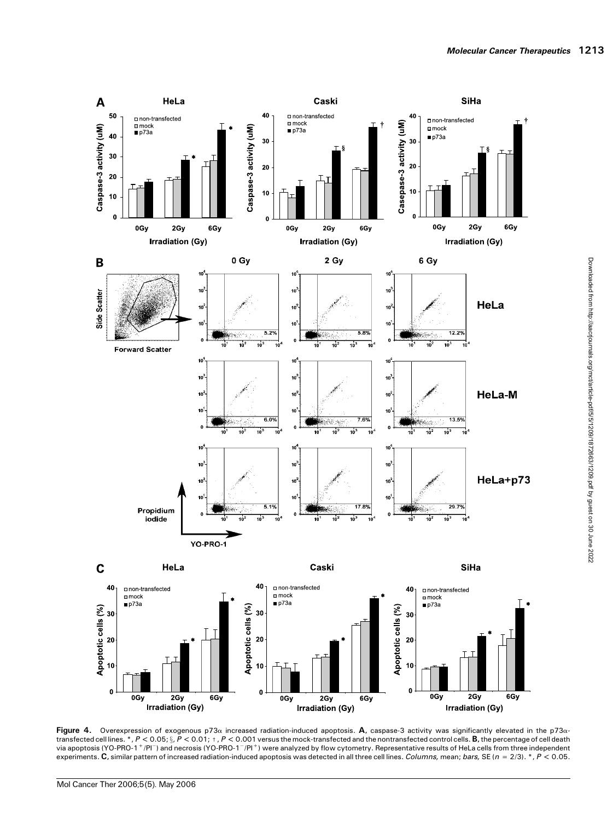

Figure 4. Overexpression of exogenous p73 $\alpha$  increased radiation-induced apoptosis. A, caspase-3 activity was significantly elevated in the p73 $\alpha$ transfected cell lines. \*,  $P < 0.05$ ;  $\S$ ,  $P < 0.01$ ;  $t$ ,  $P < 0.001$  versus the mock-transfected and the nontransfected control cells. **B**, the percentage of cell death via apoptosis (YO-PRO-1 <sup>+</sup>/Pl¯) and necrosis (YO-PRO-1 $^-$ /Pl $^+$ ) were analyzed by flow cytometry. Representative results of HeLa cells from three independent experiments. C, similar pattern of increased radiation-induced apoptosis was detected in all three cell lines. Columns, mean; bars, SE (n = 2/3). \*, P < 0.05.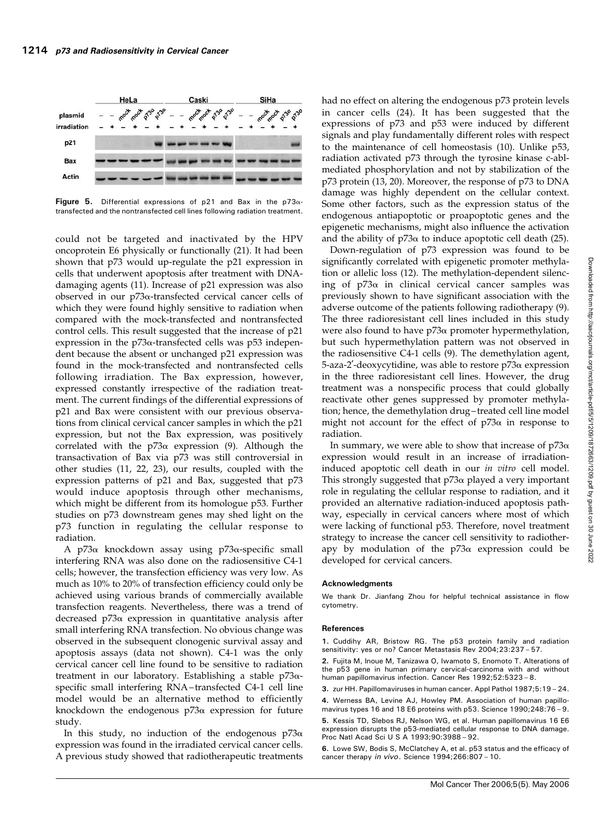

Figure 5. Differential expressions of p21 and Bax in the p73 $\alpha$ transfected and the nontransfected cell lines following radiation treatment.

could not be targeted and inactivated by the HPV oncoprotein E6 physically or functionally (21). It had been shown that p73 would up-regulate the p21 expression in cells that underwent apoptosis after treatment with DNAdamaging agents (11). Increase of p21 expression was also observed in our  $p73\alpha$ -transfected cervical cancer cells of which they were found highly sensitive to radiation when compared with the mock-transfected and nontransfected control cells. This result suggested that the increase of p21 expression in the  $p73\alpha$ -transfected cells was  $p53$  independent because the absent or unchanged p21 expression was found in the mock-transfected and nontransfected cells following irradiation. The Bax expression, however, expressed constantly irrespective of the radiation treatment. The current findings of the differential expressions of p21 and Bax were consistent with our previous observations from clinical cervical cancer samples in which the p21 expression, but not the Bax expression, was positively correlated with the p73 $\alpha$  expression (9). Although the transactivation of Bax via p73 was still controversial in other studies (11, 22, 23), our results, coupled with the expression patterns of p21 and Bax, suggested that p73 would induce apoptosis through other mechanisms, which might be different from its homologue p53. Further studies on p73 downstream genes may shed light on the p73 function in regulating the cellular response to radiation.

A p73 $\alpha$  knockdown assay using p73 $\alpha$ -specific small interfering RNA was also done on the radiosensitive C4-1 cells; however, the transfection efficiency was very low. As much as 10% to 20% of transfection efficiency could only be achieved using various brands of commercially available transfection reagents. Nevertheless, there was a trend of decreased  $p73\alpha$  expression in quantitative analysis after small interfering RNA transfection. No obvious change was observed in the subsequent clonogenic survival assay and apoptosis assays (data not shown). C4-1 was the only cervical cancer cell line found to be sensitive to radiation treatment in our laboratory. Establishing a stable  $p73\alpha$ specific small interfering RNA – transfected C4-1 cell line model would be an alternative method to efficiently knockdown the endogenous  $p73\alpha$  expression for future study.

In this study, no induction of the endogenous  $p73\alpha$ expression was found in the irradiated cervical cancer cells. A previous study showed that radiotherapeutic treatments

had no effect on altering the endogenous p73 protein levels in cancer cells (24). It has been suggested that the expressions of p73 and p53 were induced by different signals and play fundamentally different roles with respect to the maintenance of cell homeostasis (10). Unlike p53, radiation activated p73 through the tyrosine kinase c-ablmediated phosphorylation and not by stabilization of the p73 protein (13, 20). Moreover, the response of p73 to DNA damage was highly dependent on the cellular context. Some other factors, such as the expression status of the endogenous antiapoptotic or proapoptotic genes and the epigenetic mechanisms, might also influence the activation and the ability of  $p73\alpha$  to induce apoptotic cell death (25).

Down-regulation of p73 expression was found to be significantly correlated with epigenetic promoter methylation or allelic loss (12). The methylation-dependent silencing of  $p73\alpha$  in clinical cervical cancer samples was previously shown to have significant association with the adverse outcome of the patients following radiotherapy (9). The three radioresistant cell lines included in this study were also found to have  $p73\alpha$  promoter hypermethylation, but such hypermethylation pattern was not observed in the radiosensitive C4-1 cells (9). The demethylation agent, 5-aza-2'-deoxycytidine, was able to restore  $p73α$  expression in the three radioresistant cell lines. However, the drug treatment was a nonspecific process that could globally reactivate other genes suppressed by promoter methylation; hence, the demethylation drug – treated cell line model might not account for the effect of  $p73\alpha$  in response to radiation.

In summary, we were able to show that increase of  $p73\alpha$ expression would result in an increase of irradiationinduced apoptotic cell death in our in vitro cell model. This strongly suggested that  $p73\alpha$  played a very important role in regulating the cellular response to radiation, and it provided an alternative radiation-induced apoptosis pathway, especially in cervical cancers where most of which were lacking of functional p53. Therefore, novel treatment strategy to increase the cancer cell sensitivity to radiotherapy by modulation of the  $p73\alpha$  expression could be developed for cervical cancers.

#### Acknowledgments

We thank Dr. Jianfang Zhou for helpful technical assistance in flow cytometry.

#### References

1. Cuddihy AR, Bristow RG. The p53 protein family and radiation sensitivity: yes or no? Cancer Metastasis Rev 2004;23:237 – 57.

2. Fujita M, Inoue M, Tanizawa O, Iwamoto S, Enomoto T. Alterations of the p53 gene in human primary cervical-carcinoma with and without human papillomavirus infection. Cancer Res 1992;52:5323 – 8.

3. zur HH. Papillomaviruses in human cancer. Appl Pathol 1987;5:19 – 24.

4. Werness BA, Levine AJ, Howley PM. Association of human papillomavirus types 16 and 18 E6 proteins with p53. Science 1990;248:76 – 9. 5. Kessis TD, Slebos RJ, Nelson WG, et al. Human papillomavirus 16 E6

expression disrupts the p53-mediated cellular response to DNA damage. Proc Natl Acad Sci U S A 1993;90:3988 – 92.

6. Lowe SW, Bodis S, McClatchey A, et al. p53 status and the efficacy of cancer therapy in vivo. Science 1994;266:807 – 10.